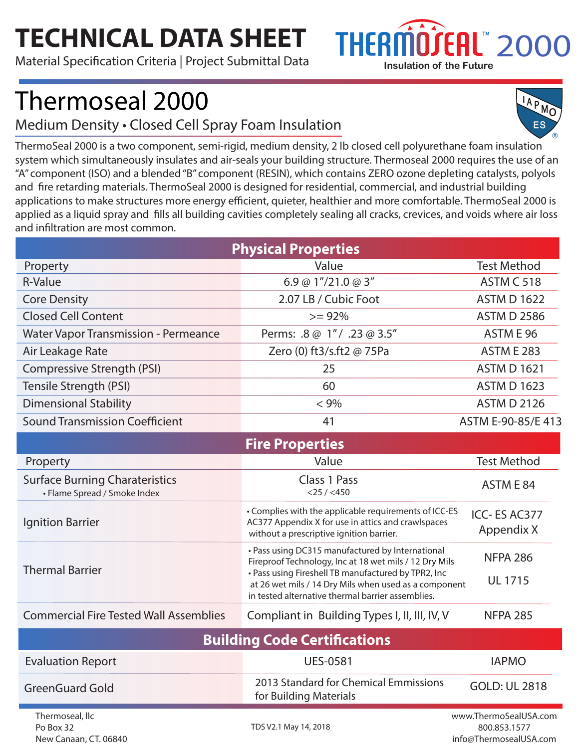## **TECHNICAL DATA SHEET**

Material Specification Criteria | Project Submittal Data



IAPMO

## Thermoseal 2000

Medium Density • Closed Cell Spray Foam Insulation

ES ThermoSeal 2000 is a two component, semi-rigid, medium density, 2 lb closed cell polyurethane foam insulation system which simultaneously insulates and air-seals your building structure. Thermoseal 2000 requires the use of an "A" component (ISO) and a blended "B" component (RESIN), which contains ZERO ozone depleting catalysts, polyols and fire retarding materials. ThermoSeal 2000 is designed for residential, commercial, and industrial building applications to make structures more energy efficient, quieter, healthier and more comfortable. ThermoSeal 2000 is applied as a liquid spray and fills all building cavities completely sealing all cracks, crevices, and voids where air loss and infiltration are most common.

| <b>Physical Properties</b>                                            |                                                                                                                                                                                                                                                                                 |                                                                 |  |  |  |
|-----------------------------------------------------------------------|---------------------------------------------------------------------------------------------------------------------------------------------------------------------------------------------------------------------------------------------------------------------------------|-----------------------------------------------------------------|--|--|--|
| Property                                                              | Value                                                                                                                                                                                                                                                                           | <b>Test Method</b>                                              |  |  |  |
| <b>R-Value</b>                                                        | 6.9 @ $1''/21.0$ @ 3"                                                                                                                                                                                                                                                           | ASTM C 518                                                      |  |  |  |
| <b>Core Density</b>                                                   | 2.07 LB / Cubic Foot                                                                                                                                                                                                                                                            | <b>ASTM D 1622</b>                                              |  |  |  |
| <b>Closed Cell Content</b>                                            | $>= 92%$                                                                                                                                                                                                                                                                        | <b>ASTM D 2586</b>                                              |  |  |  |
| <b>Water Vapor Transmission - Permeance</b>                           | Perms: .8 @ 1"/ .23 @ 3.5"                                                                                                                                                                                                                                                      | ASTM E 96                                                       |  |  |  |
| Air Leakage Rate                                                      | Zero (0) ft3/s.ft2 @ 75Pa                                                                                                                                                                                                                                                       | <b>ASTM E 283</b>                                               |  |  |  |
| Compressive Strength (PSI)                                            | 25                                                                                                                                                                                                                                                                              | <b>ASTM D 1621</b>                                              |  |  |  |
| Tensile Strength (PSI)                                                | 60                                                                                                                                                                                                                                                                              | <b>ASTM D 1623</b>                                              |  |  |  |
| <b>Dimensional Stability</b>                                          | $< 9\%$                                                                                                                                                                                                                                                                         | <b>ASTM D 2126</b>                                              |  |  |  |
| <b>Sound Transmission Coefficient</b>                                 | 41                                                                                                                                                                                                                                                                              | ASTM E-90-85/E 413                                              |  |  |  |
|                                                                       | <b>Fire Properties</b>                                                                                                                                                                                                                                                          |                                                                 |  |  |  |
| Property                                                              | Value                                                                                                                                                                                                                                                                           | <b>Test Method</b>                                              |  |  |  |
| <b>Surface Burning Charateristics</b><br>• Flame Spread / Smoke Index | Class 1 Pass<br>$<$ 25 / $<$ 450                                                                                                                                                                                                                                                | ASTM E 84                                                       |  |  |  |
| Ignition Barrier                                                      | • Complies with the applicable requirements of ICC-ES<br>AC377 Appendix X for use in attics and crawlspaces<br>without a prescriptive ignition barrier.                                                                                                                         | ICC-ES AC377<br>Appendix X                                      |  |  |  |
| <b>Thermal Barrier</b>                                                | • Pass using DC315 manufactured by International<br>Fireproof Technology, Inc at 18 wet mils / 12 Dry Mils<br>• Pass using Fireshell TB manufactured by TPR2, Inc<br>at 26 wet mils / 14 Dry Mils when used as a component<br>in tested alternative thermal barrier assemblies. | <b>NFPA 286</b><br><b>UL 1715</b>                               |  |  |  |
| <b>Commercial Fire Tested Wall Assemblies</b>                         | Compliant in Building Types I, II, III, IV, V                                                                                                                                                                                                                                   | <b>NFPA 285</b>                                                 |  |  |  |
| <b>Building Code Certifications</b>                                   |                                                                                                                                                                                                                                                                                 |                                                                 |  |  |  |
| <b>Evaluation Report</b>                                              | <b>UES-0581</b>                                                                                                                                                                                                                                                                 | <b>IAPMO</b>                                                    |  |  |  |
| <b>GreenGuard Gold</b>                                                | 2013 Standard for Chemical Emmissions<br>for Building Materials                                                                                                                                                                                                                 | <b>GOLD: UL 2818</b>                                            |  |  |  |
| Thermoseal, llc<br>Po Box 32<br>New Canaan, CT. 06840                 | TDS V2.1 May 14, 2018                                                                                                                                                                                                                                                           | www.ThermoSealUSA.com<br>800.853.1577<br>info@ThermosealUSA.com |  |  |  |